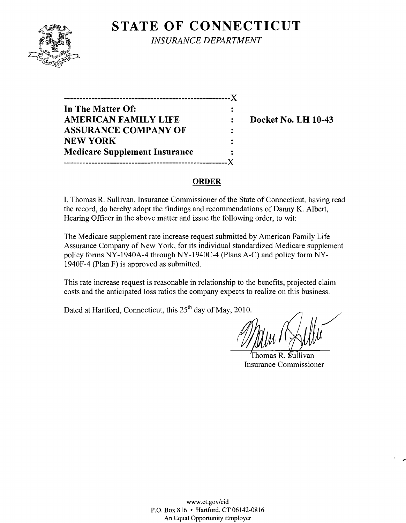# **STATE OF CONNECTICUT**



*INSURANCE DEPARTMENT* 

| In The Matter Of:                    |                      |
|--------------------------------------|----------------------|
| <b>AMERICAN FAMILY LIFE</b>          | $\ddot{\phantom{a}}$ |
| <b>ASSURANCE COMPANY OF</b>          | $\ddot{\phantom{a}}$ |
| <b>NEW YORK</b>                      |                      |
| <b>Medicare Supplement Insurance</b> |                      |
|                                      |                      |

**Docket No. LH 10-43** 

#### **ORDER**

I, Thomas R. Sullivan, Insurance Commissioner of the State of Connecticut, having read the record, do hereby adopt the findings and recommendations of Danny K. Albert, Hearing Officer in the above matter and issue the following order, to wit:

The Medicare supplement rate increase request submitted by American Family Life Assurance Company of New York, for its individual standardized Medicare supplement policy forms NY-1940A-4 through NY-1940C-4 (Plans A-C) and policy form NY-1940F-4 (Plan F) is approved as submitted.

This rate increase request is reasonable in relationship to the benefits, projected claim costs and the anticipated loss ratios the company expects to realize on this business.

Dated at Hartford, Connecticut, this 25<sup>th</sup> day of May, 2010.

Thomas R. Sullivan Insurance Commissioner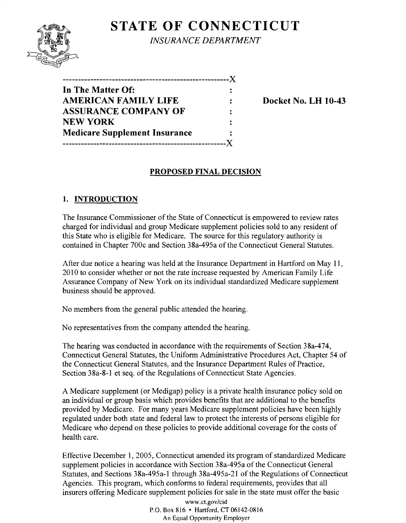## **STATE OF CONNECTICUT**



*INSURANCE DEPARTMENT* 

| In The Matter Of:                    |    |
|--------------------------------------|----|
| <b>AMERICAN FAMILY LIFE</b>          |    |
| <b>ASSURANCE COMPANY OF</b>          | Ξ. |
| <b>NEW YORK</b>                      |    |
| <b>Medicare Supplement Insurance</b> | ٠. |
|                                      |    |

**Docket No. LH 10-43** 

## **PROPOSED FINAL DECISION**

## **1. INTRODUCTION**

The Insurance Commissioner of the State of Connecticut is empowered to review rates charged for individual and group Medicare supplement policies sold to any resident of this State who is eligible for Medicare. The source for this regulatory authority is contained in Chapter 700c and Section 38a-495a of the Connecticut General Statutes.

After due notice a hearing was held at the Insurance Department in Hartford on May 11, 2010 to consider whether or not the rate increase requested by American Family Life Assurance Company of New York on its individual standardized Medicare supplement business should be approved.

No members from the general public attended the hearing.

No representatives from the company attended the hearing.

The hearing was conducted in accordance with the requirements of Section 38a-474, Connecticut General Statutes, the Uniform Administrative Procedures Act, Chapter 54 of the Connecticut General Statutes, and the Insurance Department Rules of Practice, Section 38a-8-I et seq. of the Regulations of Connecticut State Agencies.

A Medicare supplement (or Medigap) policy is a private health insurance policy sold on an individual or group basis which provides benefits that are additional to the benefits provided by Medicare. For many years Medicare supplement policies have been highly regulated under both state and federal law to protect the interests of persons eligible for Medicare who depend on these policies to provide additional coverage for the costs of health care.

Effective December 1,2005, Connecticut amended its program of standardized Medicare supplement policies in accordance with Section 38a-495a of the Connecticut General Statutes, and Sections 38a-495a-I through 38a-495a-2I of the Regulations of Connecticut Agencies. This program, which conforms to federal requirements, provides that all insurers offering Medicare supplement policies for sale in the state must offer the basic

> www.ct.gov/cid P.O. Box 816 • Hartford. CT 06142-0816 An Equal Opportunity Employer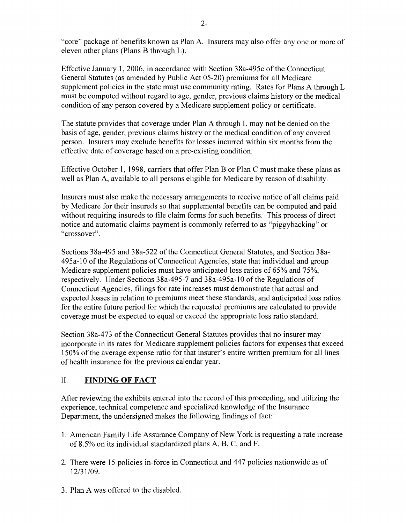"core" package of benefits known as Plan A. Insurers may also offer anyone or more of eleven other plans (Plans B through L).

Effective January 1,2006, in accordance with Section 38a-495c of the Connecticut General Statutes (as amended by Public Act 05-20) premiums for all Medicare supplement policies in the state must use community rating. Rates for Plans A through L must be computed without regard to age, gender, previous claims history or the medical condition of any person covered by a Medicare supplement policy or certificate.

The statute provides that coverage under Plan A through L may not be denied on the basis of age, gender, previous claims history or the medical condition of any covered person. Insurers may exclude benefits for losses incurred within six months from the effective date of coverage based on a pre-existing condition.

Effective October 1, 1998, carriers that offer Plan B or Plan C must make these plans as well as Plan A, available to all persons eligible for Medicare by reason of disability.

Insurers must also make the necessary arrangements to receive notice of all claims paid by Medicare for their insureds so that supplemental benefits can be computed and paid without requiring insureds to file claim forms for such benefits. This process of direct notice and automatic claims payment is commonly referred to as "piggybacking" or "crossover".

Sections 38a-495 and 38a-522 of the Connecticut General Statutes, and Section 38a-495a-l0 of the Regulations of Connecticut Agencies, state that individual and group Medicare supplement policies must have anticipated loss ratios of 65% and 75%, respectively. Under Sections 38a-495-7 and 38a-495a-10 of the Regulations of Connecticut Agencies, filings for rate increases must demonstrate that actual and expected losses in relation to premiums meet these standards, and anticipated loss ratios for the entire future period for which the requested premiums are calculated to provide coverage must be expected to equal or exceed the appropriate loss ratio standard.

Section 38a-473 of the Connecticut General Statutes provides that no insurer may incorporate in its rates for Medicare supplement policies factors for expenses that exceed 150% of the average expense ratio for that insurer's entire written premium for all lines of health insurance for the previous calendar year.

### II. **FINDING OF FACT**

After reviewing the exhibits entered into the record ofthis proceeding, and utilizing the experience, technical competence and specialized knowledge of the Insurance Department, the undersigned makes the following findings of fact:

- 1. American Family Life Assurance Company of New York is requesting a rate increase of 8.5% on its individual standardized plans A, B, C, and F.
- 2. There were 15 policies in-force in Connecticut and 447 policies nationwide as of 12/31/09.
- 3. Plan A was offered to the disabled.